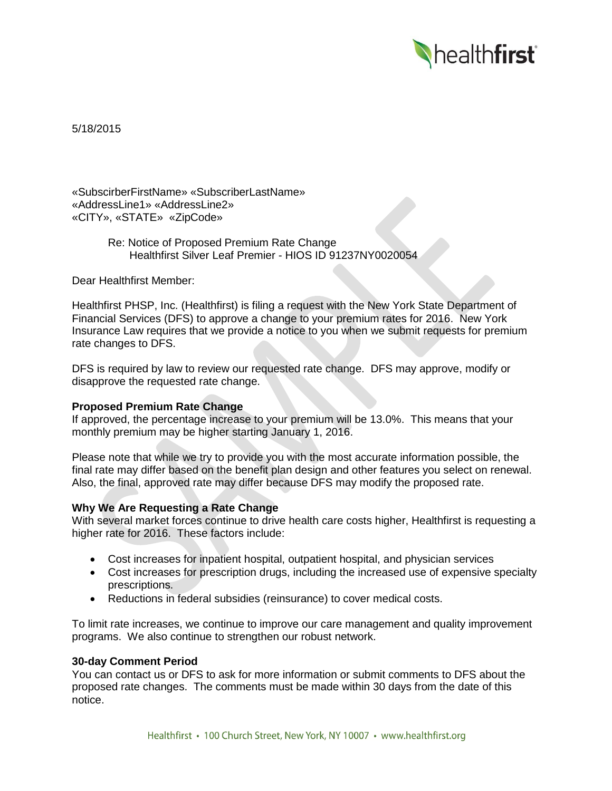

5/18/2015

«SubscirberFirstName» «SubscriberLastName» «AddressLine1» «AddressLine2» «CITY», «STATE» «ZipCode»

> Re: Notice of Proposed Premium Rate Change Healthfirst Silver Leaf Premier - HIOS ID 91237NY0020054

Dear Healthfirst Member:

Healthfirst PHSP, Inc. (Healthfirst) is filing a request with the New York State Department of Financial Services (DFS) to approve a change to your premium rates for 2016. New York Insurance Law requires that we provide a notice to you when we submit requests for premium rate changes to DFS.

DFS is required by law to review our requested rate change. DFS may approve, modify or disapprove the requested rate change.

# **Proposed Premium Rate Change**

If approved, the percentage increase to your premium will be 13.0%. This means that your monthly premium may be higher starting January 1, 2016.

Please note that while we try to provide you with the most accurate information possible, the final rate may differ based on the benefit plan design and other features you select on renewal. Also, the final, approved rate may differ because DFS may modify the proposed rate.

## **Why We Are Requesting a Rate Change**

With several market forces continue to drive health care costs higher, Healthfirst is requesting a higher rate for 2016. These factors include:

- Cost increases for inpatient hospital, outpatient hospital, and physician services
- Cost increases for prescription drugs, including the increased use of expensive specialty prescriptions.
- Reductions in federal subsidies (reinsurance) to cover medical costs.

To limit rate increases, we continue to improve our care management and quality improvement programs. We also continue to strengthen our robust network.

#### **30-day Comment Period**

You can contact us or DFS to ask for more information or submit comments to DFS about the proposed rate changes. The comments must be made within 30 days from the date of this notice.